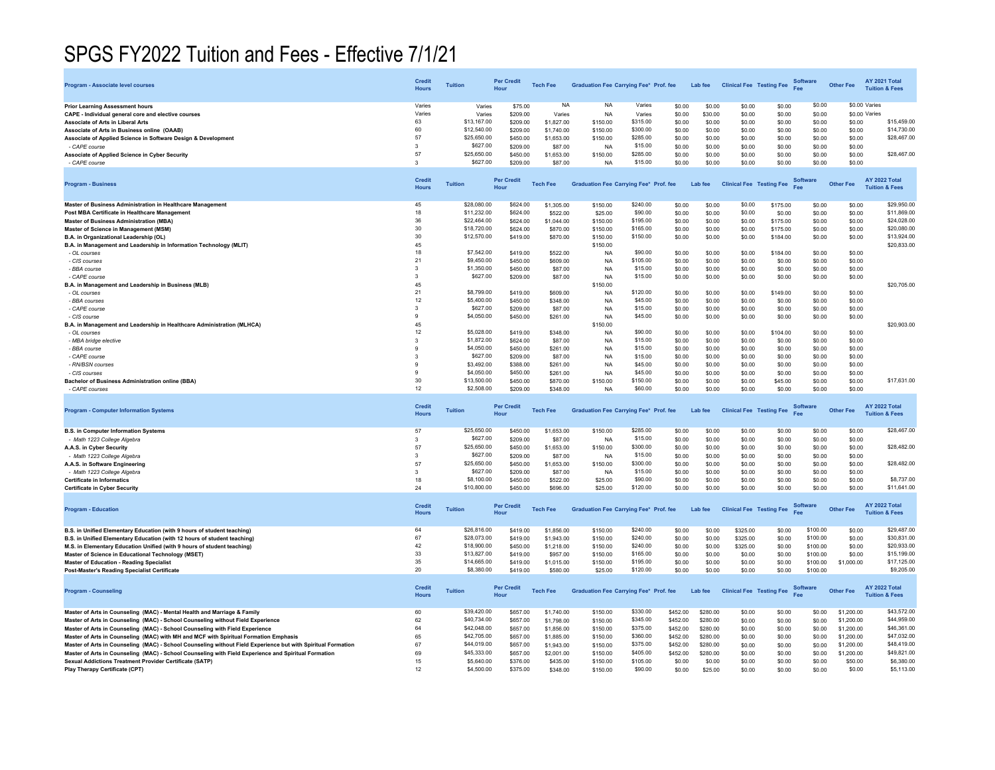## SPGS FY2022 Tuition and Fees - Effective 7/1/21

| Program - Associate level courses                                                                            | <b>Credit</b><br><b>Hours</b> | <b>Tuition</b>           | <b>Per Credit</b><br>Hour | <b>Tech Fee</b> | <b>Graduation Fee Carrying Fee* Prof. fee</b> |                     |          | Lab fee  | <b>Clinical Fee Testing Fee</b> |          | Software<br>Fee        | <b>Other Fee</b> | <b>AY 2021 Total</b><br><b>Tuition &amp; Fees</b> |
|--------------------------------------------------------------------------------------------------------------|-------------------------------|--------------------------|---------------------------|-----------------|-----------------------------------------------|---------------------|----------|----------|---------------------------------|----------|------------------------|------------------|---------------------------------------------------|
| Prior Learning Assessment hours                                                                              | Varies                        | Varies                   | \$75.00                   | <b>NA</b>       | <b>NA</b>                                     | Varies              | \$0.00   | \$0.00   | \$0.00                          | \$0.00   | \$0.00                 | \$0.00 Varies    |                                                   |
| CAPE - Individual general core and elective courses                                                          | Varies                        | Varies                   | \$209.00                  | Varies          | <b>NA</b>                                     | Varies              | \$0.00   | \$30.00  | \$0.00                          | \$0.00   | \$0.00                 | \$0.00 Varies    |                                                   |
| <b>Associate of Arts in Liberal Arts</b>                                                                     | 63                            | \$13,167.00              | \$209.00                  | \$1,827.00      | \$150.00                                      | \$315.00            | \$0.00   | \$0.00   | \$0.00                          | \$0.00   | \$0.00                 | \$0.00           | \$15,459.00                                       |
| Associate of Arts in Business online (OAAB)                                                                  | 60                            | \$12,540.00              | \$209.00                  | \$1,740.00      | \$150.00                                      | \$300.00            | \$0.00   | \$0.00   | \$0.00                          | \$0.00   | \$0.00                 | \$0.00           | \$14,730.00                                       |
| Associate of Applied Science in Software Design & Development                                                | 57                            | \$25,650.00              | \$450.00                  | \$1,653.00      | \$150.00                                      | \$285.00            | \$0.00   | \$0.00   | \$0.00                          | \$0.00   | \$0.00                 | \$0.00           | \$28,467.00                                       |
| - CAPE course                                                                                                | 3                             | \$627.00                 | \$209.00                  | \$87.00         | <b>NA</b>                                     | \$15.00             | \$0.00   | \$0.00   | \$0.00                          | \$0.00   | \$0.00                 | \$0.00           |                                                   |
| Associate of Applied Science in Cyber Security                                                               | 57                            | \$25,650.00              | \$450.00                  | \$1,653.00      | \$150.00                                      | \$285.00            | \$0.00   | \$0.00   | \$0.00                          | \$0.00   | \$0.00                 | \$0.00           | \$28,467.00                                       |
| - CAPE course                                                                                                | 3                             | \$627.00                 | \$209.00                  | \$87.00         | <b>NA</b>                                     | \$15.00             | \$0.00   | \$0.00   | \$0.00                          | \$0.00   | \$0.00                 | \$0.00           |                                                   |
|                                                                                                              |                               |                          |                           |                 |                                               |                     |          |          |                                 |          |                        |                  |                                                   |
| <b>Program - Business</b>                                                                                    | <b>Credit</b><br><b>Hours</b> | <b>Tuition</b>           | <b>Per Credit</b><br>Hour | <b>Tech Fee</b> | <b>Graduation Fee Carrying Fee* Prof. fee</b> |                     |          | Lab fee  | <b>Clinical Fee Testing Fee</b> |          | <b>Software</b>        | <b>Other Fee</b> | <b>AY 2022 Total</b><br><b>Tuition &amp; Fees</b> |
| Master of Business Administration in Healthcare Management                                                   | 45                            | \$28,080,00              | \$624.00                  | \$1,305.00      | \$150.00                                      | \$240.00            | \$0.00   | \$0.00   | \$0.00                          | \$175.00 | \$0.00                 | \$0.00           | \$29,950.00                                       |
| Post MBA Certificate in Healthcare Management                                                                | 18                            | \$11,232.00              | \$624.00                  | \$522.00        | \$25.00                                       | \$90.00             | \$0.00   | \$0.00   | \$0.00                          | \$0.00   | \$0.00                 | \$0.00           | \$11,869.00                                       |
| <b>Master of Business Administration (MBA)</b>                                                               | 36                            | \$22,464.00              | \$624.00                  | \$1,044.00      | \$150.00                                      | \$195.00            | \$0.00   | \$0.00   | \$0.00                          | \$175.00 | \$0.00                 | \$0.00           | \$24,028.00                                       |
| Master of Science in Management (MSM)                                                                        | 30                            | \$18,720.00              | \$624.00                  | \$870.00        | \$150.00                                      | \$165.00            | \$0.00   | \$0.00   | \$0.00                          | \$175.00 | \$0.00                 | \$0.00           | \$20,080.00                                       |
| B.A. in Organizational Leadership (OL)                                                                       | 30                            | \$12,570.00              | \$419.00                  | \$870.00        | \$150.00                                      | \$150.00            | \$0.00   | \$0.00   | \$0.00                          | \$184.00 | \$0.00                 | \$0.00           | \$13,924.00                                       |
| B.A. in Management and Leadership in Information Technology (MLIT)                                           | 45                            |                          |                           |                 | \$150.00                                      |                     |          |          |                                 |          |                        |                  | \$20,833.00                                       |
| - OL courses                                                                                                 | 18                            | \$7,542.00               | \$419.00                  | \$522.00        | <b>NA</b>                                     | \$90.00             | \$0.00   | \$0.00   | \$0.00                          | \$184.00 | \$0.00                 | \$0.00           |                                                   |
| - CIS courses                                                                                                | 21                            | \$9,450.00               | \$450.00                  | \$609.00        | <b>NA</b>                                     | \$105.00            | \$0.00   | \$0.00   | \$0.00                          | \$0.00   | \$0.00                 | \$0.00           |                                                   |
| - BBA course                                                                                                 | $\mathbf{3}$                  | \$1,350.00               | \$450.00                  | \$87.00         | <b>NA</b>                                     | \$15.00             | \$0.00   | \$0.00   | \$0.00                          | \$0.00   | \$0.00                 | \$0.00           |                                                   |
| - CAPE course                                                                                                | 3                             | \$627.00                 | \$209.00                  | \$87.00         | <b>NA</b>                                     | \$15.00             | \$0.00   | \$0.00   | \$0.00                          | \$0.00   | \$0.00                 | \$0.00           |                                                   |
| B.A. in Management and Leadership in Business (MLB)                                                          | 45                            |                          |                           |                 | \$150.00                                      |                     |          |          |                                 |          |                        |                  | \$20,705.00                                       |
| - OL courses                                                                                                 | 21                            | \$8,799.00               | \$419.00                  | \$609.00        | <b>NA</b>                                     | \$120.00            | \$0.00   | \$0.00   | \$0.00                          | \$149.00 | \$0.00                 | \$0.00           |                                                   |
| - BBA courses                                                                                                | 12                            | \$5,400.00               | \$450.00                  | \$348.00        | <b>NA</b>                                     | \$45.00             | \$0.00   | \$0.00   | \$0.00                          | \$0.00   | \$0.00                 | \$0.00           |                                                   |
| - CAPE course                                                                                                | 3                             | \$627.00                 | \$209.00                  | \$87.00         | <b>NA</b>                                     | \$15.00             | \$0.00   | \$0.00   | \$0.00                          | \$0.00   | \$0.00                 | \$0.00           |                                                   |
| - CIS course                                                                                                 | 9                             | \$4,050.00               | \$450.00                  | \$261.00        | <b>NA</b>                                     | \$45.00             | \$0.00   | \$0.00   | \$0.00                          | \$0.00   | \$0.00                 | \$0.00           |                                                   |
| 3.A. in Management and Leadership in Healthcare Administration (MLHCA)                                       | 45                            |                          |                           |                 | \$150.00                                      |                     |          |          |                                 |          |                        |                  | \$20,903.00                                       |
| - OL courses                                                                                                 | 12                            | \$5,028,00               | \$419.00                  | \$348.00        | <b>NA</b>                                     | \$90.00             | \$0.00   | \$0.00   | \$0.00                          | \$104.00 | \$0.00                 | \$0.00           |                                                   |
| - MBA bridge elective                                                                                        | $\mathbf{3}$                  | \$1,872.00               | \$624.00                  | \$87.00         | <b>NA</b>                                     | \$15.00             | \$0.00   | \$0.00   | \$0.00                          | \$0.00   | \$0.00                 | \$0.00           |                                                   |
| - BBA course                                                                                                 | 9                             | \$4,050.00               | \$450.00                  | \$261.00        | <b>NA</b>                                     | \$15.00             | \$0.00   | \$0.00   | \$0.00                          | \$0.00   | \$0.00                 | \$0.00           |                                                   |
| - CAPE course                                                                                                | 3                             | \$627.00                 | \$209.00                  | \$87.00         | <b>NA</b>                                     | \$15.00             | \$0.00   | \$0.00   | \$0.00                          | \$0.00   | \$0.00                 | \$0.00           |                                                   |
| - RN/BSN courses                                                                                             | ٠Q                            | \$3,492.00               | \$388.00                  | \$261.00        | <b>NA</b>                                     | \$45.00             | \$0.00   | \$0.00   | \$0.00                          | \$0.00   | \$0.00                 | \$0.00           |                                                   |
| - CIS courses                                                                                                | $\alpha$                      | \$4,050.00               | \$450.00                  | \$261.00        | <b>NA</b>                                     | \$45.00             | \$0.00   | \$0.00   | \$0.00                          | \$0.00   | \$0.00                 | \$0.00           |                                                   |
| Bachelor of Business Administration online (BBA)                                                             | 30                            | \$13,500.00              | \$450.00                  | \$870.00        | \$150.00                                      | \$150.00            | \$0.00   | \$0.00   | \$0.00                          | \$45.00  | \$0.00                 | \$0.00           | \$17,631.00                                       |
| - CAPE courses                                                                                               | 12                            | \$2,508.00               | \$209.00                  | \$348.00        | <b>NA</b>                                     | \$60.00             | \$0.00   | \$0.00   | \$0.00                          | \$0.00   | \$0.00                 | \$0.00           |                                                   |
| <b>Program - Computer Information Systems</b>                                                                | <b>Credit</b><br><b>Hours</b> | <b>Tuition</b>           | <b>Per Credit</b><br>Hour | <b>Tech Fee</b> | <b>Graduation Fee Carrying Fee* Prof. fee</b> |                     |          | Lab fee  | <b>Clinical Fee Testing Fee</b> |          | <b>Software</b>        | <b>Other Fee</b> | AY 2022 Total<br><b>Tuition &amp; Fees</b>        |
| <b>B.S. in Computer Information Systems</b>                                                                  | 57                            | \$25,650.00              | \$450.00                  | \$1,653.00      | \$150.00                                      | \$285.00            | \$0.00   | \$0.00   | \$0.00                          | \$0.00   | \$0.00                 | \$0.00           | \$28,467.00                                       |
| - Math 1223 College Algebra                                                                                  | $\mathbf{3}$                  | \$627.00                 | \$209.00                  | \$87.00         | <b>NA</b>                                     | \$15.00             | \$0.00   | \$0.00   | \$0.00                          | \$0.00   | \$0.00                 | \$0.00           |                                                   |
| A.A.S. in Cyber Security                                                                                     | 57                            | \$25,650.00              | \$450.00                  | \$1,653.00      | \$150.00                                      | \$300.00            | \$0.00   | \$0.00   | \$0.00                          | \$0.00   | \$0.00                 | \$0.00           | \$28,482.00                                       |
| - Math 1223 College Algebra                                                                                  | $\mathbf{3}$                  | \$627.00                 | \$209.00                  | \$87.00         | <b>NA</b>                                     | \$15.00             | \$0.00   | \$0.00   | \$0.00                          | \$0.00   | \$0.00                 | \$0.00           |                                                   |
| A.A.S. in Software Engineering                                                                               | 57                            | \$25,650.00              | \$450.00                  | \$1,653.00      | \$150.00                                      | \$300.00            | \$0.00   | \$0.00   | \$0.00                          | \$0.00   | \$0.00                 | \$0.00           | \$28,482.00                                       |
| - Math 1223 College Algebra                                                                                  | $\mathbf{3}$                  | \$627.00                 | \$209.00                  | \$87.00         | <b>NA</b>                                     | \$15.00             | \$0.00   | \$0.00   | \$0.00                          | \$0.00   | \$0.00                 | \$0.00           |                                                   |
| <b>Certificate in Informatics</b>                                                                            | 18                            | \$8,100.00               | \$450.00                  | \$522.00        | \$25.00                                       | \$90.00             | \$0.00   | \$0.00   | \$0.00                          | \$0.00   | \$0.00                 | \$0.00           | \$8,737.00                                        |
| <b>Certificate in Cyber Security</b>                                                                         | 24                            | \$10,800.00              | \$450.00                  | \$696.00        | \$25.00                                       | \$120.00            | \$0.00   | \$0.00   | \$0.00                          | \$0.00   | \$0.00                 | \$0.00           | \$11,641.00                                       |
| <b>Program - Education</b>                                                                                   | Credit<br><b>Hours</b>        | <b>Tuition</b>           | <b>Per Credit</b><br>Hour | <b>Tech Fee</b> | <b>Graduation Fee Carrying Fee* Prof. fee</b> |                     |          | Lab fee  | <b>Clinical Fee Testing Fee</b> |          | <b>Software</b>        | <b>Other Fee</b> | <b>AY 2022 Total</b><br><b>Tuition &amp; Fees</b> |
| B.S. in Unified Elementary Education (with 9 hours of student teaching)                                      | 64                            | \$26,816.00              | \$419.00                  | \$1,856.00      | \$150.00                                      | \$240.00            | \$0.00   | \$0.00   | \$325.00                        | \$0.00   | \$100.00               | \$0.00           | \$29,487.00                                       |
| B.S. in Unified Elementary Education (with 12 hours of student teaching)                                     | 67                            | \$28,073.00              | \$419.00                  | \$1,943.00      | \$150.00                                      | \$240.00            | \$0.00   | \$0.00   | \$325.00                        | \$0.00   | \$100.00               | \$0.00           | \$30,831.00                                       |
| M.S. in Elementary Education Unified (with 9 hours of student teaching)                                      | 42                            | \$18,900.00              | \$450.00                  | \$1,218.00      | \$150.00                                      | \$240.00            | \$0.00   | \$0.00   | \$325.00                        | \$0.00   | \$100.00               | \$0.00           | \$20,933.00                                       |
| Master of Science in Educational Technology (MSET)                                                           | 33                            | \$13,827.00              | \$419.00                  | \$957.00        | \$150.00                                      | \$165.00            | \$0.00   | \$0.00   | \$0.00                          | \$0.00   | \$100.00               | \$0.00           | \$15,199.00                                       |
| <b>Master of Education - Reading Specialist</b>                                                              | 35                            | \$14,665.00              | \$419.00                  | \$1,015.00      | \$150.00                                      | \$195.00            | \$0.00   | \$0.00   | \$0.00                          | \$0.00   | \$100.00               | \$1,000.00       | \$17,125.00                                       |
| Post-Master's Reading Specialist Certificate                                                                 | 20                            | \$8,380.00               | \$419.00                  | \$580.00        | \$25.00                                       | \$120.00            | \$0.00   | \$0.00   | \$0.00                          | \$0.00   | \$100.00               |                  | \$9,205.00                                        |
| <b>Program - Counseling</b>                                                                                  | Credit<br><b>Hours</b>        | <b>Tuition</b>           | <b>Per Credit</b><br>Hour | <b>Tech Fee</b> | Graduation Fee Carrying Fee* Prof. fee        |                     |          | Lab fee  | <b>Clinical Fee Testing Fee</b> |          | <b>Software</b><br>Fee | <b>Other Fee</b> | <b>AY 2022 Total</b><br><b>Tuition &amp; Fees</b> |
| Master of Arts in Counseling (MAC) - Mental Health and Marriage & Family                                     | 60                            | \$39,420.00              | \$657.00                  | \$1,740.00      | \$150.00                                      | \$330.00            | \$452.00 | \$280.00 | \$0.00                          | \$0.00   | \$0.00                 | \$1,200.00       | \$43,572.00                                       |
| Master of Arts in Counseling (MAC) - School Counseling without Field Experience                              | 62                            | \$40,734.00              | \$657.00                  | \$1,798.00      | \$150.00                                      | \$345.00            | \$452.00 | \$280.00 | \$0.00                          | \$0.00   | \$0.00                 | \$1,200.00       | \$44,959.00                                       |
| Master of Arts in Counseling (MAC) - School Counseling with Field Experience                                 | 64                            | \$42,048.00              | \$657.00                  | \$1,856.00      | \$150.00                                      | \$375.00            | \$452.00 | \$280.00 | \$0.00                          | \$0.00   | \$0.00                 | \$1,200.00       | \$46,361.00                                       |
| Master of Arts in Counseling (MAC) with MH and MCF with Spiritual Formation Emphasis                         |                               |                          | \$657.00                  |                 | \$150.00                                      | \$360.00            | \$452.00 | \$280.00 | \$0.00                          | \$0.00   | \$0.00                 | \$1,200.00       | \$47,032.00                                       |
| Master of Arts in Counseling (MAC) - School Counseling without Field Experience but with Spiritual Formation | 65                            | \$42,705.00              |                           | \$1,885.00      |                                               |                     |          |          |                                 |          |                        |                  |                                                   |
|                                                                                                              | 67                            | \$44,019.00              | \$657.00                  | \$1,943.00      | \$150.00                                      | \$375.00            | \$452.00 | \$280.00 | \$0.00                          | \$0.00   | \$0.00                 | \$1,200.00       | \$48,419.00                                       |
| Master of Arts in Counseling (MAC) - School Counseling with Field Experience and Spiritual Formation         | 69                            | \$45,333.00              | \$657.00                  | \$2,001.00      | \$150.00                                      | \$405.00            | \$452.00 | \$280.00 | \$0.00                          | \$0.00   | \$0.00                 | \$1,200.00       | \$49,821.00                                       |
| Sexual Addictions Treatment Provider Certificate (SATP)                                                      | 15                            | \$5,640.00<br>\$4,500.00 | \$376.00                  | \$435.00        | \$150.00<br>\$150.00                          | \$105.00<br>\$90.00 | \$0.00   | \$0.00   | \$0.00                          | \$0.00   | \$0.00                 | \$50.00          | \$6,380.00<br>\$5,113.00                          |